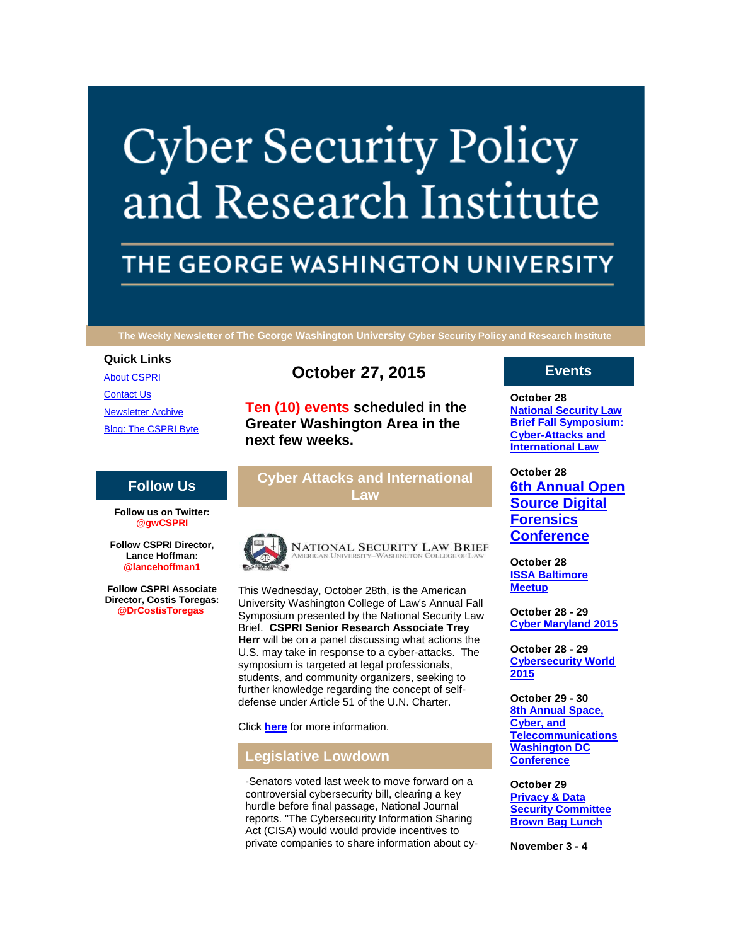# **Cyber Security Policy** and Research Institute

# THE GEORGE WASHINGTON UNIVERSITY

**The Weekly Newsletter of The George Washington University Cyber Security Policy and Research Institute**

## **Quick Links**

[About CSPRI](http://r20.rs6.net/tn.jsp?e=001D40LX6puLNSQQWMLGnEk34Mu74ruHjC55K4ipZz96v7Vlz2SvE_hHAL7FQ-_Do5pBFaYm_nLMIjpOz9jyq8BWLymYPCkktM5QaXN8db9tscPXqtLeu2Wijugds4SxkGj) [Contact Us](http://r20.rs6.net/tn.jsp?e=001D40LX6puLNSQQWMLGnEk34Mu74ruHjC55K4ipZz96v7Vlz2SvE_hHAL7FQ-_Do5pBFaYm_nLMIjpOz9jyq8BWLymYPCkktM5QaXN8db9tscTYZy6qm2tqkRXXgJbIvaGAbQXBBywV48=) [Newsletter Archive](http://r20.rs6.net/tn.jsp?e=001D40LX6puLNSQQWMLGnEk34Mu74ruHjC55K4ipZz96v7Vlz2SvE_hHAL7FQ-_Do5pBFaYm_nLMIjpOz9jyq8BWLymYPCkktM5QaXN8db9tseexYThS9gTqSM8t65fo9c6a1trov8iYTM=) [Blog: The CSPRI Byte](http://r20.rs6.net/tn.jsp?e=001D40LX6puLNSQQWMLGnEk34Mu74ruHjC55K4ipZz96v7Vlz2SvE_hHAL7FQ-_Do5pBFaYm_nLMIjpOz9jyq8BWLymYPCkktM5QaXN8db9tseJ8UYAw-e22DVBxhBh6MLO)

# **October 27, 2015**

**Ten (10) events scheduled in the Greater Washington Area in the next few weeks.**

# **Cyber Attacks and International Law**



This Wednesday, October 28th, is the American University Washington College of Law's Annual Fall Symposium presented by the National Security Law Brief. **CSPRI Senior Research Associate Trey Herr** will be on a panel discussing what actions the U.S. may take in response to a cyber-attacks. The symposium is targeted at legal professionals, students, and community organizers, seeking to further knowledge regarding the concept of selfdefense under Article 51 of the U.N. Charter.

Click **[here](http://r20.rs6.net/tn.jsp?e=001D40LX6puLNSQQWMLGnEk34Mu74ruHjC55K4ipZz96v7Vlz2SvE_hHAL7FQ-_Do5ppzliHdqrEChl173BXSvfjwdlsd9HacU38KTm07KnLIuXk8ptG-mtATpSvQ6kO-2Ib31PCR-HjNPszH89CJGgdQQNw5QzwXmTiY15P5kd32BF99K_KTKyG5CDgHWub7FI3YngXV5aFMQ=)** for more information.

# **Legislative Lowdown**

-Senators voted last week to move forward on a controversial cybersecurity bill, clearing a key hurdle before final passage, National Journal reports. "The Cybersecurity Information Sharing Act (CISA) would would provide incentives to private companies to share information about cy-

# **Events**

**October 28 [National Security Law](http://r20.rs6.net/tn.jsp?e=001D40LX6puLNSQQWMLGnEk34Mu74ruHjC55K4ipZz96v7Vlz2SvE_hHAL7FQ-_Do5pBFaYm_nLMIjpOz9jyq8BWLymYPCkktM5QaXN8db9tseS2pB4rBWZQ-bs0UABX65CuK284VJhaKU=)  [Brief Fall Symposium:](http://r20.rs6.net/tn.jsp?e=001D40LX6puLNSQQWMLGnEk34Mu74ruHjC55K4ipZz96v7Vlz2SvE_hHAL7FQ-_Do5pBFaYm_nLMIjpOz9jyq8BWLymYPCkktM5QaXN8db9tseS2pB4rBWZQ-bs0UABX65CuK284VJhaKU=)  [Cyber-Attacks and](http://r20.rs6.net/tn.jsp?e=001D40LX6puLNSQQWMLGnEk34Mu74ruHjC55K4ipZz96v7Vlz2SvE_hHAL7FQ-_Do5pBFaYm_nLMIjpOz9jyq8BWLymYPCkktM5QaXN8db9tseS2pB4rBWZQ-bs0UABX65CuK284VJhaKU=)  [International Law](http://r20.rs6.net/tn.jsp?e=001D40LX6puLNSQQWMLGnEk34Mu74ruHjC55K4ipZz96v7Vlz2SvE_hHAL7FQ-_Do5pBFaYm_nLMIjpOz9jyq8BWLymYPCkktM5QaXN8db9tseS2pB4rBWZQ-bs0UABX65CuK284VJhaKU=)**

**October 28 [6th Annual Open](http://r20.rs6.net/tn.jsp?e=001D40LX6puLNSQQWMLGnEk34Mu74ruHjC55K4ipZz96v7Vlz2SvE_hHAL7FQ-_Do5pBFaYm_nLMIjpOz9jyq8BWLymYPCkktM5QaXN8db9tseS2pB4rBWZQ-bs0UABX65CuK284VJhaKU=)  [Source Digital](http://r20.rs6.net/tn.jsp?e=001D40LX6puLNSQQWMLGnEk34Mu74ruHjC55K4ipZz96v7Vlz2SvE_hHAL7FQ-_Do5pBFaYm_nLMIjpOz9jyq8BWLymYPCkktM5QaXN8db9tseS2pB4rBWZQ-bs0UABX65CuK284VJhaKU=)  [Forensics](http://r20.rs6.net/tn.jsp?e=001D40LX6puLNSQQWMLGnEk34Mu74ruHjC55K4ipZz96v7Vlz2SvE_hHAL7FQ-_Do5pBFaYm_nLMIjpOz9jyq8BWLymYPCkktM5QaXN8db9tseS2pB4rBWZQ-bs0UABX65CuK284VJhaKU=)  [Conference](http://r20.rs6.net/tn.jsp?e=001D40LX6puLNSQQWMLGnEk34Mu74ruHjC55K4ipZz96v7Vlz2SvE_hHAL7FQ-_Do5pBFaYm_nLMIjpOz9jyq8BWLymYPCkktM5QaXN8db9tseS2pB4rBWZQ-bs0UABX65CuK284VJhaKU=)**

**October 28 [ISSA Baltimore](http://r20.rs6.net/tn.jsp?e=001D40LX6puLNSQQWMLGnEk34Mu74ruHjC55K4ipZz96v7Vlz2SvE_hHAL7FQ-_Do5pBFaYm_nLMIjpOz9jyq8BWLymYPCkktM5QaXN8db9tseS2pB4rBWZQ-bs0UABX65CuK284VJhaKU=)  [Meetup](http://r20.rs6.net/tn.jsp?e=001D40LX6puLNSQQWMLGnEk34Mu74ruHjC55K4ipZz96v7Vlz2SvE_hHAL7FQ-_Do5pBFaYm_nLMIjpOz9jyq8BWLymYPCkktM5QaXN8db9tseS2pB4rBWZQ-bs0UABX65CuK284VJhaKU=)**

**October 28 - 29 [Cyber Maryland 2015](http://r20.rs6.net/tn.jsp?e=001D40LX6puLNSQQWMLGnEk34Mu74ruHjC55K4ipZz96v7Vlz2SvE_hHAL7FQ-_Do5pBFaYm_nLMIjpOz9jyq8BWLymYPCkktM5QaXN8db9tseS2pB4rBWZQ-bs0UABX65CuK284VJhaKU=)**

**October 28 - 29 [Cybersecurity World](http://r20.rs6.net/tn.jsp?e=001D40LX6puLNSQQWMLGnEk34Mu74ruHjC55K4ipZz96v7Vlz2SvE_hHAL7FQ-_Do5pBFaYm_nLMIjpOz9jyq8BWLymYPCkktM5QaXN8db9tseS2pB4rBWZQ-bs0UABX65CuK284VJhaKU=)  [2015](http://r20.rs6.net/tn.jsp?e=001D40LX6puLNSQQWMLGnEk34Mu74ruHjC55K4ipZz96v7Vlz2SvE_hHAL7FQ-_Do5pBFaYm_nLMIjpOz9jyq8BWLymYPCkktM5QaXN8db9tseS2pB4rBWZQ-bs0UABX65CuK284VJhaKU=)**

**October 29 - 30 [8th Annual Space,](http://r20.rs6.net/tn.jsp?e=001D40LX6puLNSQQWMLGnEk34Mu74ruHjC55K4ipZz96v7Vlz2SvE_hHAL7FQ-_Do5pBFaYm_nLMIjpOz9jyq8BWLymYPCkktM5QaXN8db9tseS2pB4rBWZQ-bs0UABX65CuK284VJhaKU=)  [Cyber, and](http://r20.rs6.net/tn.jsp?e=001D40LX6puLNSQQWMLGnEk34Mu74ruHjC55K4ipZz96v7Vlz2SvE_hHAL7FQ-_Do5pBFaYm_nLMIjpOz9jyq8BWLymYPCkktM5QaXN8db9tseS2pB4rBWZQ-bs0UABX65CuK284VJhaKU=)  [Telecommunications](http://r20.rs6.net/tn.jsp?e=001D40LX6puLNSQQWMLGnEk34Mu74ruHjC55K4ipZz96v7Vlz2SvE_hHAL7FQ-_Do5pBFaYm_nLMIjpOz9jyq8BWLymYPCkktM5QaXN8db9tseS2pB4rBWZQ-bs0UABX65CuK284VJhaKU=)  [Washington DC](http://r20.rs6.net/tn.jsp?e=001D40LX6puLNSQQWMLGnEk34Mu74ruHjC55K4ipZz96v7Vlz2SvE_hHAL7FQ-_Do5pBFaYm_nLMIjpOz9jyq8BWLymYPCkktM5QaXN8db9tseS2pB4rBWZQ-bs0UABX65CuK284VJhaKU=)  [Conference](http://r20.rs6.net/tn.jsp?e=001D40LX6puLNSQQWMLGnEk34Mu74ruHjC55K4ipZz96v7Vlz2SvE_hHAL7FQ-_Do5pBFaYm_nLMIjpOz9jyq8BWLymYPCkktM5QaXN8db9tseS2pB4rBWZQ-bs0UABX65CuK284VJhaKU=)**

**October 29 [Privacy & Data](http://r20.rs6.net/tn.jsp?e=001D40LX6puLNSQQWMLGnEk34Mu74ruHjC55K4ipZz96v7Vlz2SvE_hHAL7FQ-_Do5pBFaYm_nLMIjpOz9jyq8BWLymYPCkktM5QaXN8db9tseS2pB4rBWZQ-bs0UABX65CuK284VJhaKU=)  [Security Committee](http://r20.rs6.net/tn.jsp?e=001D40LX6puLNSQQWMLGnEk34Mu74ruHjC55K4ipZz96v7Vlz2SvE_hHAL7FQ-_Do5pBFaYm_nLMIjpOz9jyq8BWLymYPCkktM5QaXN8db9tseS2pB4rBWZQ-bs0UABX65CuK284VJhaKU=)  [Brown Bag Lunch](http://r20.rs6.net/tn.jsp?e=001D40LX6puLNSQQWMLGnEk34Mu74ruHjC55K4ipZz96v7Vlz2SvE_hHAL7FQ-_Do5pBFaYm_nLMIjpOz9jyq8BWLymYPCkktM5QaXN8db9tseS2pB4rBWZQ-bs0UABX65CuK284VJhaKU=)**

**November 3 - 4**

# **Follow Us**

**Follow us on Twitter: @gwCSPRI**

**Follow CSPRI Director, Lance Hoffman: @lancehoffman1**

**Follow CSPRI Associate Director, Costis Toregas: @DrCostisToregas**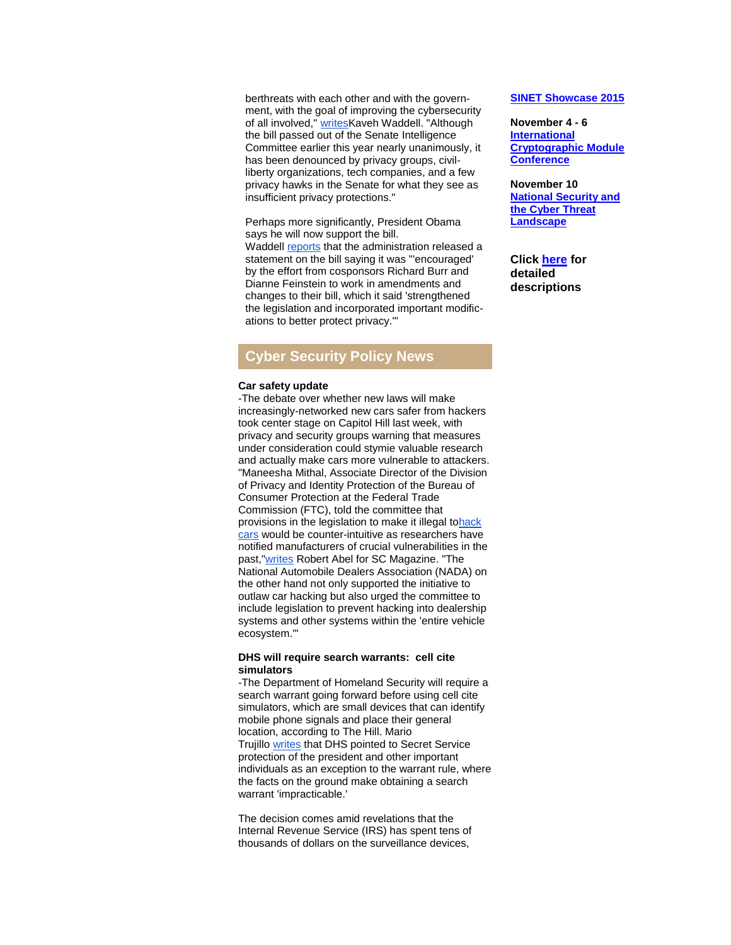berthreats with each other and with the government, with the goal of improving the cybersecurity of all involved," [writesK](http://r20.rs6.net/tn.jsp?e=001D40LX6puLNSQQWMLGnEk34Mu74ruHjC55K4ipZz96v7Vlz2SvE_hHAL7FQ-_Do5pBFaYm_nLMIj7HLRXQNcDpP0-ROj0YTwdad_6HCSH0g8lWhm4Yjgq2Sw3pxjm3PLl9AyyXHZsapeFQoLbWbXQo3M0yrWg5rIN_mjYdOF24vHEmxDBohG9sIQETXaRH5tsqLUFYLZsVmz_zT7qDi9H1OHPc07k6X_sQxKKtiTHOmxIhYCCu3ndrA==)aveh Waddell. "Although the bill passed out of the Senate Intelligence Committee earlier this year nearly unanimously, it has been denounced by privacy groups, civilliberty organizations, tech companies, and a few privacy hawks in the Senate for what they see as insufficient privacy protections."

Perhaps more significantly, President Obama says he will now support the bill. Waddell [reports](http://r20.rs6.net/tn.jsp?e=001D40LX6puLNSQQWMLGnEk34Mu74ruHjC55K4ipZz96v7Vlz2SvE_hHAL7FQ-_Do5pBFaYm_nLMIj7HLRXQNcDpP0-ROj0YTwdad_6HCSH0g8lWhm4Yjgq2RM1uPdKFSz33DP9Q9p_9Ihb_pK9vMAhv73XzIU2R2G73j2cccy_zrI7OhcWuTmR0hkM4xpF1XYlRVayeY_aANgB15_8f-nJU0hxOyzMuccLlgthK6Sn5Cg=) that the administration released a statement on the bill saying it was "'encouraged' by the effort from cosponsors Richard Burr and Dianne Feinstein to work in amendments and changes to their bill, which it said 'strengthened the legislation and incorporated important modifications to better protect privacy.'"

# **Cyber Security Policy News**

#### **Car safety update**

-The debate over whether new laws will make increasingly-networked new cars safer from hackers took center stage on Capitol Hill last week, with privacy and security groups warning that measures under consideration could stymie valuable research and actually make cars more vulnerable to attackers. "Maneesha Mithal, Associate Director of the Division of Privacy and Identity Protection of the Bureau of Consumer Protection at the Federal Trade Commission (FTC), told the committee that provisions in the legislation to make it illegal t[ohack](http://r20.rs6.net/tn.jsp?e=001D40LX6puLNSQQWMLGnEk34Mu74ruHjC55K4ipZz96v7Vlz2SvE_hHAL7FQ-_Do5pBFaYm_nLMIjiiwrXYnzNZgOBn0Pns151uJKj7DX41ER_anNxVDZKIfbpQ4s3YIF8X1HtOgooEMyPCgdIeVQe2w==)  [cars](http://r20.rs6.net/tn.jsp?e=001D40LX6puLNSQQWMLGnEk34Mu74ruHjC55K4ipZz96v7Vlz2SvE_hHAL7FQ-_Do5pBFaYm_nLMIjiiwrXYnzNZgOBn0Pns151uJKj7DX41ER_anNxVDZKIfbpQ4s3YIF8X1HtOgooEMyPCgdIeVQe2w==) would be counter-intuitive as researchers have notified manufacturers of crucial vulnerabilities in the past,["writes](http://r20.rs6.net/tn.jsp?e=001D40LX6puLNSQQWMLGnEk34Mu74ruHjC55K4ipZz96v7Vlz2SvE_hHAL7FQ-_Do5pBFaYm_nLMIjiiwrXYnzNZgOBn0Pns151--B6dI3hJBx7BTxhnSDXPmSp_uoQVPglTW290wqk6Ytn4LiK5HtOhnxrprBMoemdnAeP01zJo6pqTj77nGO5dzVSwaQzo9gzb0mleuqsq01zK9vBvCVS9KGPpH-olSXleMFRR-sk-ejqS3smS70SzjoNgTOJ67rE) Robert Abel for SC Magazine. "The National Automobile Dealers Association (NADA) on the other hand not only supported the initiative to outlaw car hacking but also urged the committee to include legislation to prevent hacking into dealership systems and other systems within the 'entire vehicle ecosystem.'"

#### **DHS will require search warrants: cell cite simulators**

-The Department of Homeland Security will require a search warrant going forward before using cell cite simulators, which are small devices that can identify mobile phone signals and place their general location, according to The Hill. Mario Trujillo [writes](http://r20.rs6.net/tn.jsp?e=001D40LX6puLNSQQWMLGnEk34Mu74ruHjC55K4ipZz96v7Vlz2SvE_hHAL7FQ-_Do5pBFaYm_nLMIjiPabVp9TnIDAkIGMpvufj9kERQh1V3EdidHrIQxXY8w0aXMPGVr9xKyCVG7m5xC4s332-GOmvMvMXqKU1kd3hwvQ5rKy5Gw6M4zyGAm0EJCnBKvYJAW_TpFho-GraFoFZw1ZMT0C8wCdJUh5s3ogm) that DHS pointed to Secret Service protection of the president and other important individuals as an exception to the warrant rule, where the facts on the ground make obtaining a search warrant 'impracticable.'

The decision comes amid revelations that the Internal Revenue Service (IRS) has spent tens of thousands of dollars on the surveillance devices,

## **[SINET Showcase 2015](http://r20.rs6.net/tn.jsp?e=001D40LX6puLNSQQWMLGnEk34Mu74ruHjC55K4ipZz96v7Vlz2SvE_hHAL7FQ-_Do5pBFaYm_nLMIjpOz9jyq8BWLymYPCkktM5QaXN8db9tseS2pB4rBWZQ-bs0UABX65CuK284VJhaKU=)**

**November 4 - 6 [International](http://r20.rs6.net/tn.jsp?e=001D40LX6puLNSQQWMLGnEk34Mu74ruHjC55K4ipZz96v7Vlz2SvE_hHAL7FQ-_Do5pBFaYm_nLMIjpOz9jyq8BWLymYPCkktM5QaXN8db9tseS2pB4rBWZQ-bs0UABX65CuK284VJhaKU=)  [Cryptographic Module](http://r20.rs6.net/tn.jsp?e=001D40LX6puLNSQQWMLGnEk34Mu74ruHjC55K4ipZz96v7Vlz2SvE_hHAL7FQ-_Do5pBFaYm_nLMIjpOz9jyq8BWLymYPCkktM5QaXN8db9tseS2pB4rBWZQ-bs0UABX65CuK284VJhaKU=)  [Conference](http://r20.rs6.net/tn.jsp?e=001D40LX6puLNSQQWMLGnEk34Mu74ruHjC55K4ipZz96v7Vlz2SvE_hHAL7FQ-_Do5pBFaYm_nLMIjpOz9jyq8BWLymYPCkktM5QaXN8db9tseS2pB4rBWZQ-bs0UABX65CuK284VJhaKU=)**

**November 10 [National Security and](http://r20.rs6.net/tn.jsp?e=001D40LX6puLNSQQWMLGnEk34Mu74ruHjC55K4ipZz96v7Vlz2SvE_hHAL7FQ-_Do5pBFaYm_nLMIjpOz9jyq8BWLymYPCkktM5QaXN8db9tseS2pB4rBWZQ-bs0UABX65CuK284VJhaKU=)  [the Cyber Threat](http://r20.rs6.net/tn.jsp?e=001D40LX6puLNSQQWMLGnEk34Mu74ruHjC55K4ipZz96v7Vlz2SvE_hHAL7FQ-_Do5pBFaYm_nLMIjpOz9jyq8BWLymYPCkktM5QaXN8db9tseS2pB4rBWZQ-bs0UABX65CuK284VJhaKU=)  [Landscape](http://r20.rs6.net/tn.jsp?e=001D40LX6puLNSQQWMLGnEk34Mu74ruHjC55K4ipZz96v7Vlz2SvE_hHAL7FQ-_Do5pBFaYm_nLMIjpOz9jyq8BWLymYPCkktM5QaXN8db9tseS2pB4rBWZQ-bs0UABX65CuK284VJhaKU=)**

**Click [here](http://r20.rs6.net/tn.jsp?e=001D40LX6puLNSQQWMLGnEk34Mu74ruHjC55K4ipZz96v7Vlz2SvE_hHAL7FQ-_Do5pBFaYm_nLMIjpOz9jyq8BWLymYPCkktM5QaXN8db9tseS2pB4rBWZQ-bs0UABX65ChsUqG1DLpS9hYoSyHYpJAg==) for detailed descriptions**